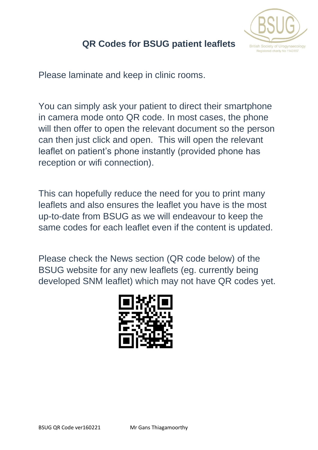

### **QR Codes for BSUG patient leaflets**

Please laminate and keep in clinic rooms.

You can simply ask your patient to direct their smartphone in camera mode onto QR code. In most cases, the phone will then offer to open the relevant document so the person can then just click and open. This will open the relevant leaflet on patient's phone instantly (provided phone has reception or wifi connection).

This can hopefully reduce the need for you to print many leaflets and also ensures the leaflet you have is the most up-to-date from BSUG as we will endeavour to keep the same codes for each leaflet even if the content is updated.

Please check the News section (QR code below) of the BSUG website for any new leaflets (eg. currently being developed SNM leaflet) which may not have QR codes yet.

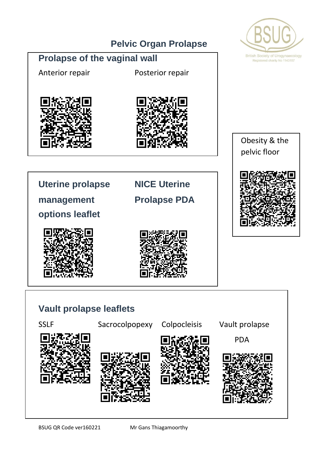### **Pelvic Organ Prolapse**



### **Prolapse of the vaginal wall**

Anterior repair Posterior repair







**Uterine prolapse NICE Uterine**  management **Prolapse PDA** 

**options leaflet**





# **Vault prolapse leaflets** SSLF Sacrocolpopexy Colpocleisis Vault prolapse PDA  $\overline{a}$